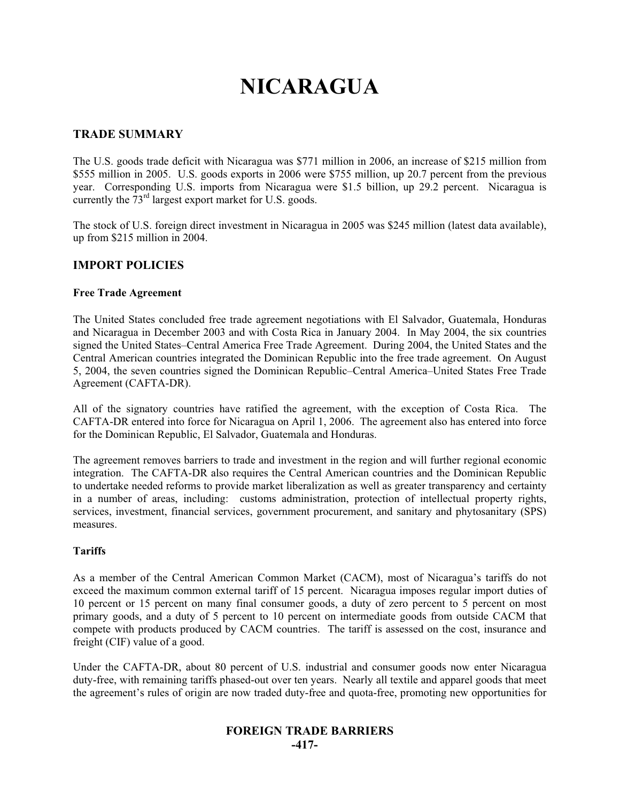# **NICARAGUA**

## **TRADE SUMMARY**

The U.S. goods trade deficit with Nicaragua was \$771 million in 2006, an increase of \$215 million from \$555 million in 2005. U.S. goods exports in 2006 were \$755 million, up 20.7 percent from the previous year. Corresponding U.S. imports from Nicaragua were \$1.5 billion, up 29.2 percent. Nicaragua is currently the  $73<sup>rd</sup>$  largest export market for U.S. goods.

The stock of U.S. foreign direct investment in Nicaragua in 2005 was \$245 million (latest data available), up from \$215 million in 2004.

#### **IMPORT POLICIES**

#### **Free Trade Agreement**

The United States concluded free trade agreement negotiations with El Salvador, Guatemala, Honduras and Nicaragua in December 2003 and with Costa Rica in January 2004. In May 2004, the six countries signed the United States–Central America Free Trade Agreement. During 2004, the United States and the Central American countries integrated the Dominican Republic into the free trade agreement. On August 5, 2004, the seven countries signed the Dominican Republic–Central America–United States Free Trade Agreement (CAFTA-DR).

All of the signatory countries have ratified the agreement, with the exception of Costa Rica. The CAFTA-DR entered into force for Nicaragua on April 1, 2006. The agreement also has entered into force for the Dominican Republic, El Salvador, Guatemala and Honduras.

The agreement removes barriers to trade and investment in the region and will further regional economic integration. The CAFTA-DR also requires the Central American countries and the Dominican Republic to undertake needed reforms to provide market liberalization as well as greater transparency and certainty in a number of areas, including: customs administration, protection of intellectual property rights, services, investment, financial services, government procurement, and sanitary and phytosanitary (SPS) measures.

#### **Tariffs**

As a member of the Central American Common Market (CACM), most of Nicaragua's tariffs do not exceed the maximum common external tariff of 15 percent. Nicaragua imposes regular import duties of 10 percent or 15 percent on many final consumer goods, a duty of zero percent to 5 percent on most primary goods, and a duty of 5 percent to 10 percent on intermediate goods from outside CACM that compete with products produced by CACM countries. The tariff is assessed on the cost, insurance and freight (CIF) value of a good.

Under the CAFTA-DR, about 80 percent of U.S. industrial and consumer goods now enter Nicaragua duty-free, with remaining tariffs phased-out over ten years. Nearly all textile and apparel goods that meet the agreement's rules of origin are now traded duty-free and quota-free, promoting new opportunities for

## **FOREIGN TRADE BARRIERS**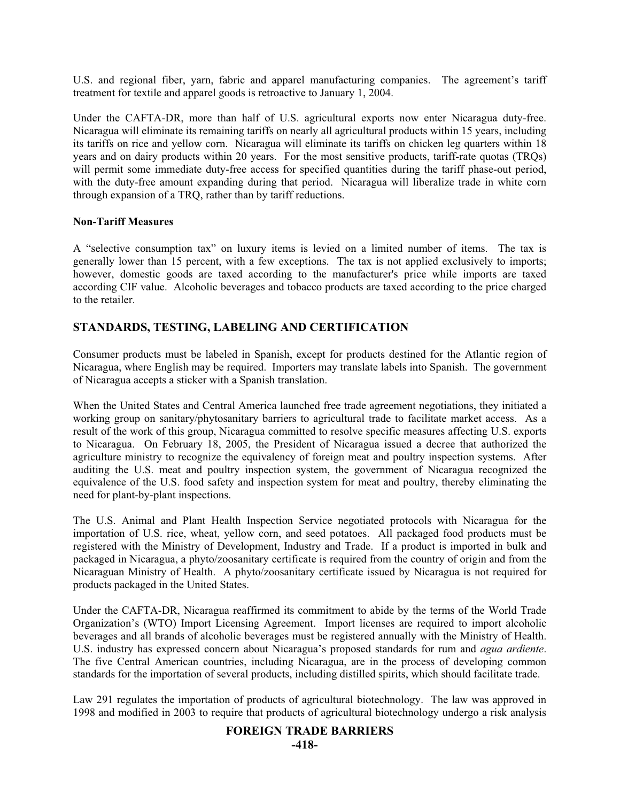U.S. and regional fiber, yarn, fabric and apparel manufacturing companies. The agreement's tariff treatment for textile and apparel goods is retroactive to January 1, 2004.

Under the CAFTA-DR, more than half of U.S. agricultural exports now enter Nicaragua duty-free. Nicaragua will eliminate its remaining tariffs on nearly all agricultural products within 15 years, including its tariffs on rice and yellow corn. Nicaragua will eliminate its tariffs on chicken leg quarters within 18 years and on dairy products within 20 years. For the most sensitive products, tariff-rate quotas (TRQs) will permit some immediate duty-free access for specified quantities during the tariff phase-out period, with the duty-free amount expanding during that period. Nicaragua will liberalize trade in white corn through expansion of a TRQ, rather than by tariff reductions.

#### **Non-Tariff Measures**

A "selective consumption tax" on luxury items is levied on a limited number of items. The tax is generally lower than 15 percent, with a few exceptions. The tax is not applied exclusively to imports; however, domestic goods are taxed according to the manufacturer's price while imports are taxed according CIF value. Alcoholic beverages and tobacco products are taxed according to the price charged to the retailer.

## **STANDARDS, TESTING, LABELING AND CERTIFICATION**

Consumer products must be labeled in Spanish, except for products destined for the Atlantic region of Nicaragua, where English may be required. Importers may translate labels into Spanish. The government of Nicaragua accepts a sticker with a Spanish translation.

When the United States and Central America launched free trade agreement negotiations, they initiated a working group on sanitary/phytosanitary barriers to agricultural trade to facilitate market access. As a result of the work of this group, Nicaragua committed to resolve specific measures affecting U.S. exports to Nicaragua. On February 18, 2005, the President of Nicaragua issued a decree that authorized the agriculture ministry to recognize the equivalency of foreign meat and poultry inspection systems. After auditing the U.S. meat and poultry inspection system, the government of Nicaragua recognized the equivalence of the U.S. food safety and inspection system for meat and poultry, thereby eliminating the need for plant-by-plant inspections.

The U.S. Animal and Plant Health Inspection Service negotiated protocols with Nicaragua for the importation of U.S. rice, wheat, yellow corn, and seed potatoes. All packaged food products must be registered with the Ministry of Development, Industry and Trade. If a product is imported in bulk and packaged in Nicaragua, a phyto/zoosanitary certificate is required from the country of origin and from the Nicaraguan Ministry of Health. A phyto/zoosanitary certificate issued by Nicaragua is not required for products packaged in the United States.

Under the CAFTA-DR, Nicaragua reaffirmed its commitment to abide by the terms of the World Trade Organization's (WTO) Import Licensing Agreement. Import licenses are required to import alcoholic beverages and all brands of alcoholic beverages must be registered annually with the Ministry of Health. U.S. industry has expressed concern about Nicaragua's proposed standards for rum and *agua ardiente*. The five Central American countries, including Nicaragua, are in the process of developing common standards for the importation of several products, including distilled spirits, which should facilitate trade.

Law 291 regulates the importation of products of agricultural biotechnology. The law was approved in 1998 and modified in 2003 to require that products of agricultural biotechnology undergo a risk analysis

#### **FOREIGN TRADE BARRIERS**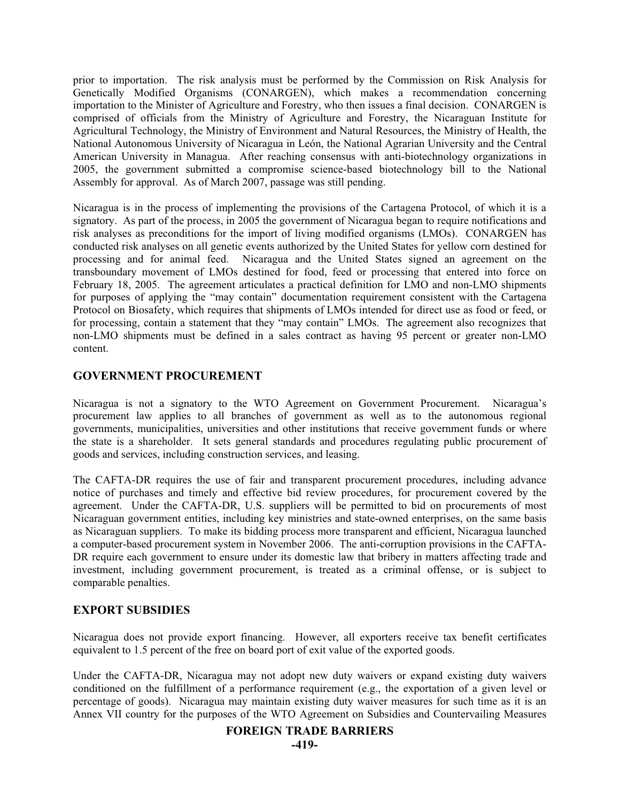prior to importation. The risk analysis must be performed by the Commission on Risk Analysis for Genetically Modified Organisms (CONARGEN), which makes a recommendation concerning importation to the Minister of Agriculture and Forestry, who then issues a final decision. CONARGEN is comprised of officials from the Ministry of Agriculture and Forestry, the Nicaraguan Institute for Agricultural Technology, the Ministry of Environment and Natural Resources, the Ministry of Health, the National Autonomous University of Nicaragua in León, the National Agrarian University and the Central American University in Managua. After reaching consensus with anti-biotechnology organizations in 2005, the government submitted a compromise science-based biotechnology bill to the National Assembly for approval. As of March 2007, passage was still pending.

Nicaragua is in the process of implementing the provisions of the Cartagena Protocol, of which it is a signatory. As part of the process, in 2005 the government of Nicaragua began to require notifications and risk analyses as preconditions for the import of living modified organisms (LMOs). CONARGEN has conducted risk analyses on all genetic events authorized by the United States for yellow corn destined for processing and for animal feed. Nicaragua and the United States signed an agreement on the transboundary movement of LMOs destined for food, feed or processing that entered into force on February 18, 2005. The agreement articulates a practical definition for LMO and non-LMO shipments for purposes of applying the "may contain" documentation requirement consistent with the Cartagena Protocol on Biosafety, which requires that shipments of LMOs intended for direct use as food or feed, or for processing, contain a statement that they "may contain" LMOs. The agreement also recognizes that non-LMO shipments must be defined in a sales contract as having 95 percent or greater non-LMO content.

## **GOVERNMENT PROCUREMENT**

Nicaragua is not a signatory to the WTO Agreement on Government Procurement. Nicaragua's procurement law applies to all branches of government as well as to the autonomous regional governments, municipalities, universities and other institutions that receive government funds or where the state is a shareholder. It sets general standards and procedures regulating public procurement of goods and services, including construction services, and leasing.

The CAFTA-DR requires the use of fair and transparent procurement procedures, including advance notice of purchases and timely and effective bid review procedures, for procurement covered by the agreement. Under the CAFTA-DR, U.S. suppliers will be permitted to bid on procurements of most Nicaraguan government entities, including key ministries and state-owned enterprises, on the same basis as Nicaraguan suppliers. To make its bidding process more transparent and efficient, Nicaragua launched a computer-based procurement system in November 2006. The anti-corruption provisions in the CAFTA-DR require each government to ensure under its domestic law that bribery in matters affecting trade and investment, including government procurement, is treated as a criminal offense, or is subject to comparable penalties.

## **EXPORT SUBSIDIES**

Nicaragua does not provide export financing. However, all exporters receive tax benefit certificates equivalent to 1.5 percent of the free on board port of exit value of the exported goods.

Under the CAFTA-DR, Nicaragua may not adopt new duty waivers or expand existing duty waivers conditioned on the fulfillment of a performance requirement (e.g., the exportation of a given level or percentage of goods). Nicaragua may maintain existing duty waiver measures for such time as it is an Annex VII country for the purposes of the WTO Agreement on Subsidies and Countervailing Measures

#### **FOREIGN TRADE BARRIERS**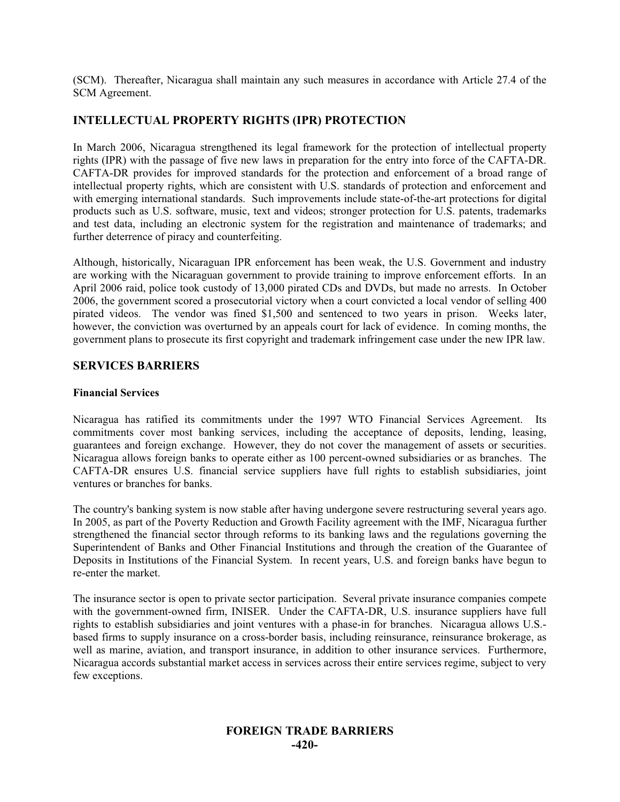(SCM). Thereafter, Nicaragua shall maintain any such measures in accordance with Article 27.4 of the SCM Agreement.

## **INTELLECTUAL PROPERTY RIGHTS (IPR) PROTECTION**

In March 2006, Nicaragua strengthened its legal framework for the protection of intellectual property rights (IPR) with the passage of five new laws in preparation for the entry into force of the CAFTA-DR. CAFTA-DR provides for improved standards for the protection and enforcement of a broad range of intellectual property rights, which are consistent with U.S. standards of protection and enforcement and with emerging international standards. Such improvements include state-of-the-art protections for digital products such as U.S. software, music, text and videos; stronger protection for U.S. patents, trademarks and test data, including an electronic system for the registration and maintenance of trademarks; and further deterrence of piracy and counterfeiting.

Although, historically, Nicaraguan IPR enforcement has been weak, the U.S. Government and industry are working with the Nicaraguan government to provide training to improve enforcement efforts. In an April 2006 raid, police took custody of 13,000 pirated CDs and DVDs, but made no arrests. In October 2006, the government scored a prosecutorial victory when a court convicted a local vendor of selling 400 pirated videos. The vendor was fined \$1,500 and sentenced to two years in prison. Weeks later, however, the conviction was overturned by an appeals court for lack of evidence. In coming months, the government plans to prosecute its first copyright and trademark infringement case under the new IPR law.

#### **SERVICES BARRIERS**

#### **Financial Services**

Nicaragua has ratified its commitments under the 1997 WTO Financial Services Agreement. Its commitments cover most banking services, including the acceptance of deposits, lending, leasing, guarantees and foreign exchange. However, they do not cover the management of assets or securities. Nicaragua allows foreign banks to operate either as 100 percent-owned subsidiaries or as branches. The CAFTA-DR ensures U.S. financial service suppliers have full rights to establish subsidiaries, joint ventures or branches for banks.

The country's banking system is now stable after having undergone severe restructuring several years ago. In 2005, as part of the Poverty Reduction and Growth Facility agreement with the IMF, Nicaragua further strengthened the financial sector through reforms to its banking laws and the regulations governing the Superintendent of Banks and Other Financial Institutions and through the creation of the Guarantee of Deposits in Institutions of the Financial System. In recent years, U.S. and foreign banks have begun to re-enter the market.

The insurance sector is open to private sector participation. Several private insurance companies compete with the government-owned firm, INISER. Under the CAFTA-DR, U.S. insurance suppliers have full rights to establish subsidiaries and joint ventures with a phase-in for branches. Nicaragua allows U.S. based firms to supply insurance on a cross-border basis, including reinsurance, reinsurance brokerage, as well as marine, aviation, and transport insurance, in addition to other insurance services. Furthermore, Nicaragua accords substantial market access in services across their entire services regime, subject to very few exceptions.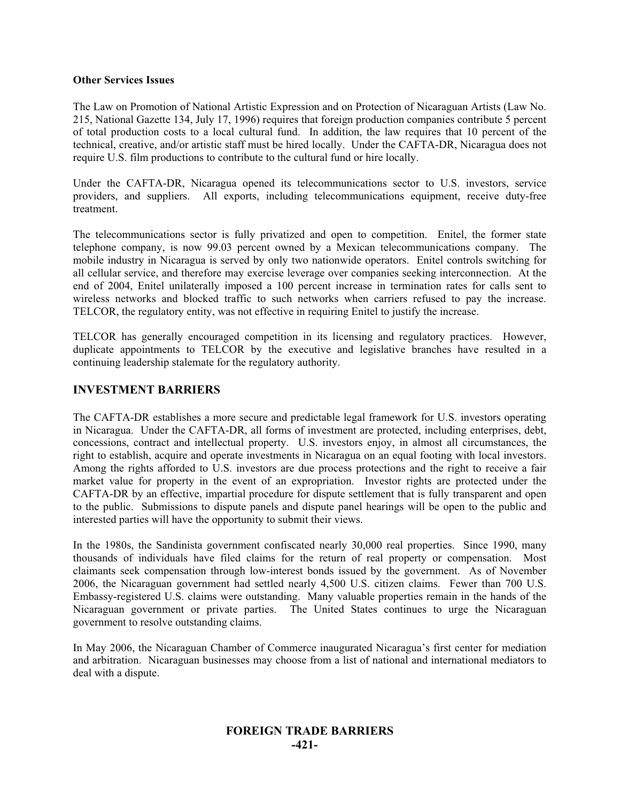#### **Other Services Issues**

The Law on Promotion of National Artistic Expression and on Protection of Nicaraguan Artists (Law No. 215, National Gazette 134, July 17, 1996) requires that foreign production companies contribute 5 percent of total production costs to a local cultural fund. In addition, the law requires that 10 percent of the technical, creative, and/or artistic staff must be hired locally. Under the CAFTA-DR, Nicaragua does not require U.S. film productions to contribute to the cultural fund or hire locally.

Under the CAFTA-DR, Nicaragua opened its telecommunications sector to U.S. investors, service providers, and suppliers. All exports, including telecommunications equipment, receive duty-free treatment.

The telecommunications sector is fully privatized and open to competition. Enitel, the former state telephone company, is now 99.03 percent owned by a Mexican telecommunications company. The mobile industry in Nicaragua is served by only two nationwide operators. Enitel controls switching for all cellular service, and therefore may exercise leverage over companies seeking interconnection. At the end of 2004, Enitel unilaterally imposed a 100 percent increase in termination rates for calls sent to wireless networks and blocked traffic to such networks when carriers refused to pay the increase. TELCOR, the regulatory entity, was not effective in requiring Enitel to justify the increase.

TELCOR has generally encouraged competition in its licensing and regulatory practices. However, duplicate appointments to TELCOR by the executive and legislative branches have resulted in a continuing leadership stalemate for the regulatory authority.

#### **INVESTMENT BARRIERS**

The CAFTA-DR establishes a more secure and predictable legal framework for U.S. investors operating in Nicaragua. Under the CAFTA-DR, all forms of investment are protected, including enterprises, debt, concessions, contract and intellectual property. U.S. investors enjoy, in almost all circumstances, the right to establish, acquire and operate investments in Nicaragua on an equal footing with local investors. Among the rights afforded to U.S. investors are due process protections and the right to receive a fair market value for property in the event of an expropriation. Investor rights are protected under the CAFTA-DR by an effective, impartial procedure for dispute settlement that is fully transparent and open to the public. Submissions to dispute panels and dispute panel hearings will be open to the public and interested parties will have the opportunity to submit their views.

In the 1980s, the Sandinista government confiscated nearly 30,000 real properties. Since 1990, many thousands of individuals have filed claims for the return of real property or compensation. Most claimants seek compensation through low-interest bonds issued by the government. As of November 2006, the Nicaraguan government had settled nearly 4,500 U.S. citizen claims. Fewer than 700 U.S. Embassy-registered U.S. claims were outstanding. Many valuable properties remain in the hands of the Nicaraguan government or private parties. The United States continues to urge the Nicaraguan government to resolve outstanding claims.

In May 2006, the Nicaraguan Chamber of Commerce inaugurated Nicaragua's first center for mediation and arbitration. Nicaraguan businesses may choose from a list of national and international mediators to deal with a dispute.